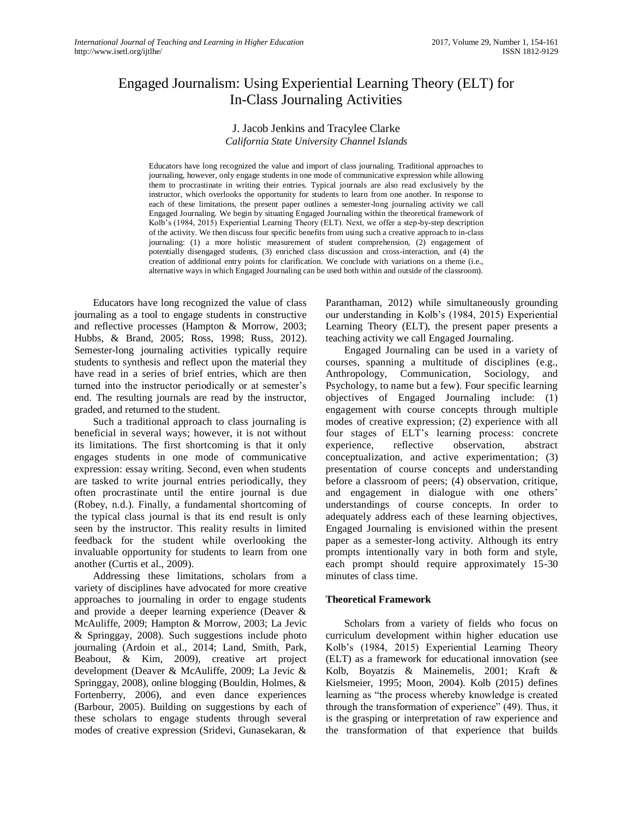# Engaged Journalism: Using Experiential Learning Theory (ELT) for In-Class Journaling Activities

# J. Jacob Jenkins and Tracylee Clarke *California State University Channel Islands*

Educators have long recognized the value and import of class journaling. Traditional approaches to journaling, however, only engage students in one mode of communicative expression while allowing them to procrastinate in writing their entries. Typical journals are also read exclusively by the instructor, which overlooks the opportunity for students to learn from one another. In response to each of these limitations, the present paper outlines a semester-long journaling activity we call Engaged Journaling. We begin by situating Engaged Journaling within the theoretical framework of Kolb's (1984, 2015) Experiential Learning Theory (ELT). Next, we offer a step-by-step description of the activity. We then discuss four specific benefits from using such a creative approach to in-class journaling: (1) a more holistic measurement of student comprehension, (2) engagement of potentially disengaged students, (3) enriched class discussion and cross-interaction, and (4) the creation of additional entry points for clarification. We conclude with variations on a theme (i.e., alternative ways in which Engaged Journaling can be used both within and outside of the classroom).

Educators have long recognized the value of class journaling as a tool to engage students in constructive and reflective processes (Hampton & Morrow, 2003; Hubbs, & Brand, 2005; Ross, 1998; Russ, 2012). Semester-long journaling activities typically require students to synthesis and reflect upon the material they have read in a series of brief entries, which are then turned into the instructor periodically or at semester's end. The resulting journals are read by the instructor, graded, and returned to the student.

Such a traditional approach to class journaling is beneficial in several ways; however, it is not without its limitations. The first shortcoming is that it only engages students in one mode of communicative expression: essay writing. Second, even when students are tasked to write journal entries periodically, they often procrastinate until the entire journal is due (Robey, n.d.). Finally, a fundamental shortcoming of the typical class journal is that its end result is only seen by the instructor. This reality results in limited feedback for the student while overlooking the invaluable opportunity for students to learn from one another (Curtis et al., 2009).

Addressing these limitations, scholars from a variety of disciplines have advocated for more creative approaches to journaling in order to engage students and provide a deeper learning experience (Deaver & McAuliffe, 2009; Hampton & Morrow, 2003; La Jevic & Springgay, 2008). Such suggestions include photo journaling (Ardoin et al., 2014; Land, Smith, Park, Beabout, & Kim, 2009), creative art project development (Deaver & McAuliffe, 2009; La Jevic & Springgay, 2008), online blogging (Bouldin, Holmes, & Fortenberry, 2006), and even dance experiences (Barbour, 2005). Building on suggestions by each of these scholars to engage students through several modes of creative expression (Sridevi, Gunasekaran, & Paranthaman, 2012) while simultaneously grounding our understanding in Kolb's (1984, 2015) Experiential Learning Theory (ELT), the present paper presents a teaching activity we call Engaged Journaling.

Engaged Journaling can be used in a variety of courses, spanning a multitude of disciplines (e.g., Anthropology, Communication, Sociology, and Psychology, to name but a few). Four specific learning objectives of Engaged Journaling include: (1) engagement with course concepts through multiple modes of creative expression; (2) experience with all four stages of ELT's learning process: concrete experience, reflective observation, abstract conceptualization, and active experimentation; (3) presentation of course concepts and understanding before a classroom of peers; (4) observation, critique, and engagement in dialogue with one others' understandings of course concepts. In order to adequately address each of these learning objectives, Engaged Journaling is envisioned within the present paper as a semester-long activity. Although its entry prompts intentionally vary in both form and style, each prompt should require approximately 15-30 minutes of class time.

#### **Theoretical Framework**

Scholars from a variety of fields who focus on curriculum development within higher education use Kolb's (1984, 2015) Experiential Learning Theory (ELT) as a framework for educational innovation (see Kolb, Boyatzis & Mainemelis, 2001; Kraft & Kielsmeier, 1995; Moon, 2004). Kolb (2015) defines learning as "the process whereby knowledge is created through the transformation of experience" (49). Thus, it is the grasping or interpretation of raw experience and the transformation of that experience that builds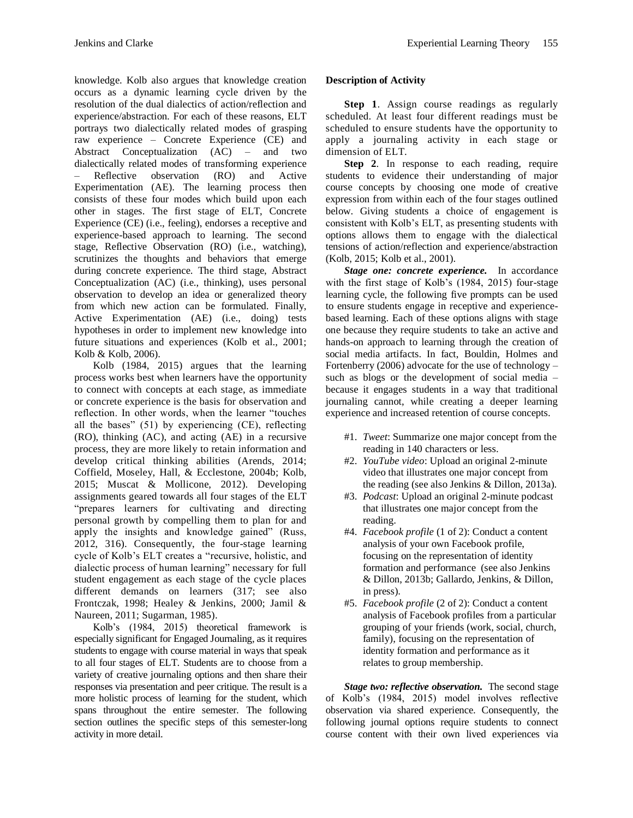knowledge. Kolb also argues that knowledge creation occurs as a dynamic learning cycle driven by the resolution of the dual dialectics of action/reflection and experience/abstraction. For each of these reasons, ELT portrays two dialectically related modes of grasping raw experience – Concrete Experience (CE) and Abstract Conceptualization (AC) – and two dialectically related modes of transforming experience – Reflective observation (RO) and Active Experimentation (AE). The learning process then consists of these four modes which build upon each other in stages. The first stage of ELT, Concrete Experience (CE) (i.e., feeling), endorses a receptive and experience-based approach to learning. The second stage, Reflective Observation (RO) (i.e., watching), scrutinizes the thoughts and behaviors that emerge during concrete experience. The third stage, Abstract Conceptualization (AC) (i.e., thinking), uses personal observation to develop an idea or generalized theory from which new action can be formulated. Finally, Active Experimentation (AE) (i.e., doing) tests hypotheses in order to implement new knowledge into future situations and experiences (Kolb et al., 2001; Kolb & Kolb, 2006).

Kolb (1984, 2015) argues that the learning process works best when learners have the opportunity to connect with concepts at each stage, as immediate or concrete experience is the basis for observation and reflection. In other words, when the learner "touches all the bases" (51) by experiencing (CE), reflecting (RO), thinking (AC), and acting (AE) in a recursive process, they are more likely to retain information and develop critical thinking abilities (Arends, 2014; Coffield, Moseley, Hall, & Ecclestone, 2004b; Kolb, 2015; Muscat & Mollicone, 2012). Developing assignments geared towards all four stages of the ELT "prepares learners for cultivating and directing personal growth by compelling them to plan for and apply the insights and knowledge gained" (Russ, 2012, 316). Consequently, the four-stage learning cycle of Kolb's ELT creates a "recursive, holistic, and dialectic process of human learning" necessary for full student engagement as each stage of the cycle places different demands on learners (317; see also Frontczak, 1998; Healey & Jenkins, 2000; Jamil & Naureen, 2011; Sugarman, 1985).

Kolb's (1984, 2015) theoretical framework is especially significant for Engaged Journaling, as it requires students to engage with course material in ways that speak to all four stages of ELT. Students are to choose from a variety of creative journaling options and then share their responses via presentation and peer critique. The result is a more holistic process of learning for the student, which spans throughout the entire semester. The following section outlines the specific steps of this semester-long activity in more detail.

# **Description of Activity**

**Step 1**. Assign course readings as regularly scheduled. At least four different readings must be scheduled to ensure students have the opportunity to apply a journaling activity in each stage or dimension of ELT.

**Step 2**. In response to each reading, require students to evidence their understanding of major course concepts by choosing one mode of creative expression from within each of the four stages outlined below. Giving students a choice of engagement is consistent with Kolb's ELT, as presenting students with options allows them to engage with the dialectical tensions of action/reflection and experience/abstraction (Kolb, 2015; Kolb et al., 2001).

*Stage one: concrete experience.* In accordance with the first stage of Kolb's (1984, 2015) four-stage learning cycle, the following five prompts can be used to ensure students engage in receptive and experiencebased learning. Each of these options aligns with stage one because they require students to take an active and hands-on approach to learning through the creation of social media artifacts. In fact, Bouldin, Holmes and Fortenberry (2006) advocate for the use of technology – such as blogs or the development of social media – because it engages students in a way that traditional journaling cannot, while creating a deeper learning experience and increased retention of course concepts.

- #1. *Tweet*: Summarize one major concept from the reading in 140 characters or less.
- #2. *YouTube video*: Upload an original 2-minute video that illustrates one major concept from the reading (see also Jenkins & Dillon, 2013a).
- #3. *Podcast*: Upload an original 2-minute podcast that illustrates one major concept from the reading.
- #4. *Facebook profile* (1 of 2): Conduct a content analysis of your own Facebook profile, focusing on the representation of identity formation and performance (see also Jenkins & Dillon, 2013b; Gallardo, Jenkins, & Dillon, in press).
- #5. *Facebook profile* (2 of 2): Conduct a content analysis of Facebook profiles from a particular grouping of your friends (work, social, church, family), focusing on the representation of identity formation and performance as it relates to group membership.

*Stage two: reflective observation.* The second stage of Kolb's (1984, 2015) model involves reflective observation via shared experience. Consequently, the following journal options require students to connect course content with their own lived experiences via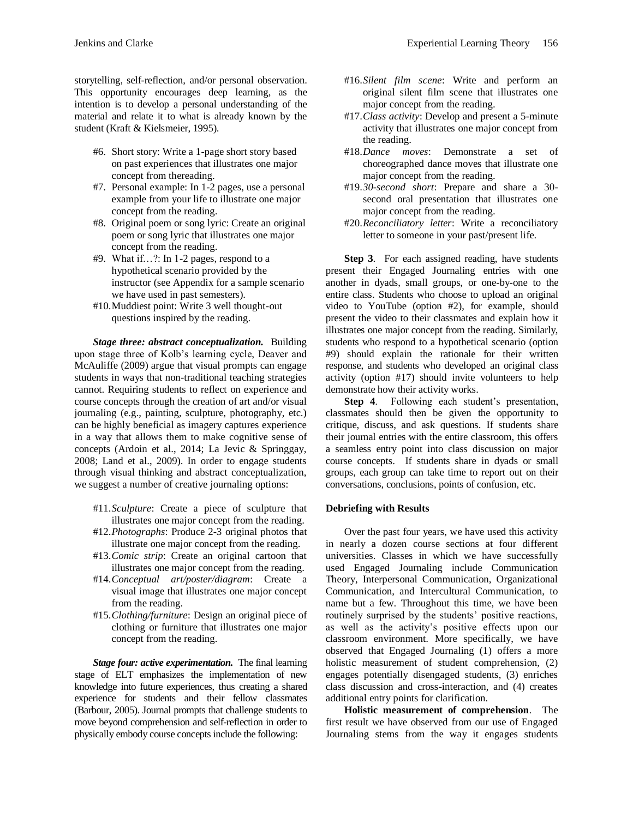storytelling, self-reflection, and/or personal observation. This opportunity encourages deep learning, as the intention is to develop a personal understanding of the material and relate it to what is already known by the student (Kraft & Kielsmeier, 1995).

- #6. Short story: Write a 1-page short story based on past experiences that illustrates one major concept from thereading.
- #7. Personal example: In 1-2 pages, use a personal example from your life to illustrate one major concept from the reading.
- #8. Original poem or song lyric: Create an original poem or song lyric that illustrates one major concept from the reading.
- #9. What if…?: In 1-2 pages, respond to a hypothetical scenario provided by the instructor (see Appendix for a sample scenario we have used in past semesters).
- #10.Muddiest point: Write 3 well thought-out questions inspired by the reading.

*Stage three: abstract conceptualization.* Building upon stage three of Kolb's learning cycle, Deaver and McAuliffe (2009) argue that visual prompts can engage students in ways that non-traditional teaching strategies cannot. Requiring students to reflect on experience and course concepts through the creation of art and/or visual journaling (e.g., painting, sculpture, photography, etc.) can be highly beneficial as imagery captures experience in a way that allows them to make cognitive sense of concepts (Ardoin et al., 2014; La Jevic & Springgay, 2008; Land et al., 2009). In order to engage students through visual thinking and abstract conceptualization, we suggest a number of creative journaling options:

- #11.*Sculpture*: Create a piece of sculpture that illustrates one major concept from the reading.
- #12.*Photographs*: Produce 2-3 original photos that illustrate one major concept from the reading.
- #13.*Comic strip*: Create an original cartoon that illustrates one major concept from the reading.
- #14.*Conceptual art/poster/diagram*: Create a visual image that illustrates one major concept from the reading.
- #15.*Clothing/furniture*: Design an original piece of clothing or furniture that illustrates one major concept from the reading.

*Stage four: active experimentation.* The final learning stage of ELT emphasizes the implementation of new knowledge into future experiences, thus creating a shared experience for students and their fellow classmates (Barbour, 2005). Journal prompts that challenge students to move beyond comprehension and self-reflection in order to physically embody course concepts include the following:

- #16.*Silent film scene*: Write and perform an original silent film scene that illustrates one major concept from the reading.
- #17.*Class activity*: Develop and present a 5-minute activity that illustrates one major concept from the reading.
- #18.*Dance moves*: Demonstrate a set of choreographed dance moves that illustrate one major concept from the reading.
- #19.*30-second short*: Prepare and share a 30 second oral presentation that illustrates one major concept from the reading.
- #20.*Reconciliatory letter*: Write a reconciliatory letter to someone in your past/present life.

**Step 3.** For each assigned reading, have students present their Engaged Journaling entries with one another in dyads, small groups, or one-by-one to the entire class. Students who choose to upload an original video to YouTube (option #2), for example, should present the video to their classmates and explain how it illustrates one major concept from the reading. Similarly, students who respond to a hypothetical scenario (option #9) should explain the rationale for their written response, and students who developed an original class activity (option #17) should invite volunteers to help demonstrate how their activity works.

**Step 4**. Following each student's presentation, classmates should then be given the opportunity to critique, discuss, and ask questions. If students share their journal entries with the entire classroom, this offers a seamless entry point into class discussion on major course concepts. If students share in dyads or small groups, each group can take time to report out on their conversations, conclusions, points of confusion, etc.

#### **Debriefing with Results**

Over the past four years, we have used this activity in nearly a dozen course sections at four different universities. Classes in which we have successfully used Engaged Journaling include Communication Theory, Interpersonal Communication, Organizational Communication, and Intercultural Communication, to name but a few. Throughout this time, we have been routinely surprised by the students' positive reactions, as well as the activity's positive effects upon our classroom environment. More specifically, we have observed that Engaged Journaling (1) offers a more holistic measurement of student comprehension, (2) engages potentially disengaged students, (3) enriches class discussion and cross-interaction, and (4) creates additional entry points for clarification.

**Holistic measurement of comprehension**. The first result we have observed from our use of Engaged Journaling stems from the way it engages students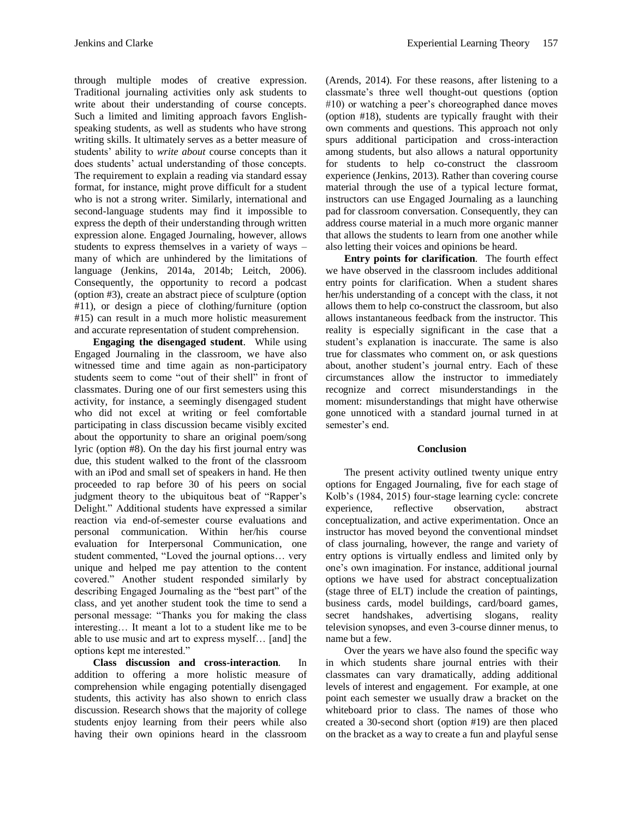through multiple modes of creative expression. Traditional journaling activities only ask students to write about their understanding of course concepts. Such a limited and limiting approach favors Englishspeaking students, as well as students who have strong writing skills. It ultimately serves as a better measure of students' ability to *write about* course concepts than it does students' actual understanding of those concepts. The requirement to explain a reading via standard essay format, for instance, might prove difficult for a student who is not a strong writer. Similarly, international and second-language students may find it impossible to express the depth of their understanding through written expression alone. Engaged Journaling, however, allows students to express themselves in a variety of ways – many of which are unhindered by the limitations of language (Jenkins, 2014a, 2014b; Leitch, 2006). Consequently, the opportunity to record a podcast (option #3), create an abstract piece of sculpture (option #11), or design a piece of clothing/furniture (option #15) can result in a much more holistic measurement and accurate representation of student comprehension.

**Engaging the disengaged student**. While using Engaged Journaling in the classroom, we have also witnessed time and time again as non-participatory students seem to come "out of their shell" in front of classmates. During one of our first semesters using this activity, for instance, a seemingly disengaged student who did not excel at writing or feel comfortable participating in class discussion became visibly excited about the opportunity to share an original poem/song lyric (option #8). On the day his first journal entry was due, this student walked to the front of the classroom with an iPod and small set of speakers in hand. He then proceeded to rap before 30 of his peers on social judgment theory to the ubiquitous beat of "Rapper's Delight." Additional students have expressed a similar reaction via end-of-semester course evaluations and personal communication. Within her/his course evaluation for Interpersonal Communication, one student commented, "Loved the journal options… very unique and helped me pay attention to the content covered." Another student responded similarly by describing Engaged Journaling as the "best part" of the class, and yet another student took the time to send a personal message: "Thanks you for making the class interesting… It meant a lot to a student like me to be able to use music and art to express myself… [and] the options kept me interested."

**Class discussion and cross-interaction**. In addition to offering a more holistic measure of comprehension while engaging potentially disengaged students, this activity has also shown to enrich class discussion. Research shows that the majority of college students enjoy learning from their peers while also having their own opinions heard in the classroom

(Arends, 2014). For these reasons, after listening to a classmate's three well thought-out questions (option #10) or watching a peer's choreographed dance moves (option #18), students are typically fraught with their own comments and questions. This approach not only spurs additional participation and cross-interaction among students, but also allows a natural opportunity for students to help co-construct the classroom experience (Jenkins, 2013). Rather than covering course material through the use of a typical lecture format, instructors can use Engaged Journaling as a launching pad for classroom conversation. Consequently, they can address course material in a much more organic manner that allows the students to learn from one another while also letting their voices and opinions be heard.

**Entry points for clarification**. The fourth effect we have observed in the classroom includes additional entry points for clarification. When a student shares her/his understanding of a concept with the class, it not allows them to help co-construct the classroom, but also allows instantaneous feedback from the instructor. This reality is especially significant in the case that a student's explanation is inaccurate. The same is also true for classmates who comment on, or ask questions about, another student's journal entry. Each of these circumstances allow the instructor to immediately recognize and correct misunderstandings in the moment: misunderstandings that might have otherwise gone unnoticed with a standard journal turned in at semester's end.

#### **Conclusion**

The present activity outlined twenty unique entry options for Engaged Journaling, five for each stage of Kolb's (1984, 2015) four-stage learning cycle: concrete experience, reflective observation, abstract conceptualization, and active experimentation. Once an instructor has moved beyond the conventional mindset of class journaling, however, the range and variety of entry options is virtually endless and limited only by one's own imagination. For instance, additional journal options we have used for abstract conceptualization (stage three of ELT) include the creation of paintings, business cards, model buildings, card/board games, secret handshakes, advertising slogans, reality television synopses, and even 3-course dinner menus, to name but a few.

Over the years we have also found the specific way in which students share journal entries with their classmates can vary dramatically, adding additional levels of interest and engagement. For example, at one point each semester we usually draw a bracket on the whiteboard prior to class. The names of those who created a 30-second short (option #19) are then placed on the bracket as a way to create a fun and playful sense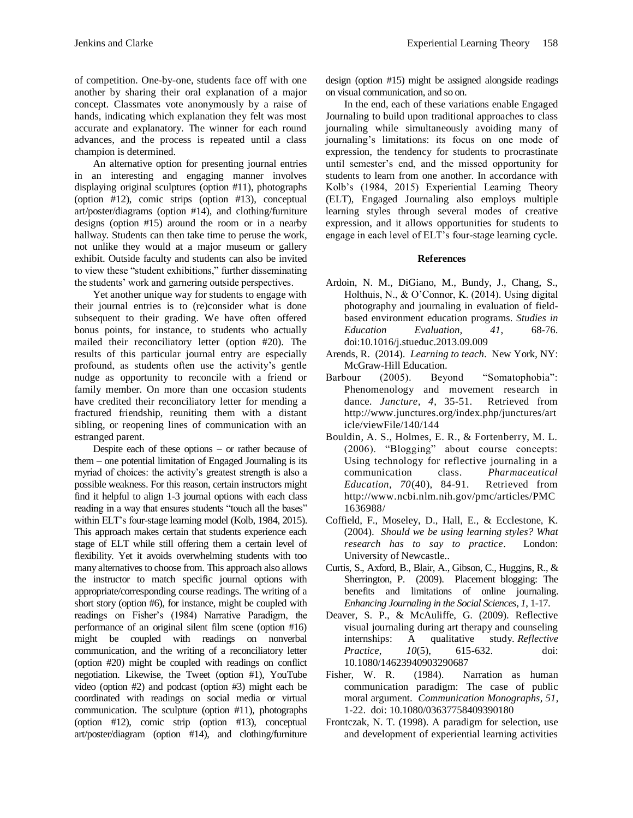of competition. One-by-one, students face off with one another by sharing their oral explanation of a major concept. Classmates vote anonymously by a raise of hands, indicating which explanation they felt was most accurate and explanatory. The winner for each round advances, and the process is repeated until a class champion is determined.

An alternative option for presenting journal entries in an interesting and engaging manner involves displaying original sculptures (option #11), photographs (option #12), comic strips (option #13), conceptual art/poster/diagrams (option #14), and clothing/furniture designs (option #15) around the room or in a nearby hallway. Students can then take time to peruse the work, not unlike they would at a major museum or gallery exhibit. Outside faculty and students can also be invited to view these "student exhibitions," further disseminating the students' work and garnering outside perspectives.

Yet another unique way for students to engage with their journal entries is to (re)consider what is done subsequent to their grading. We have often offered bonus points, for instance, to students who actually mailed their reconciliatory letter (option #20). The results of this particular journal entry are especially profound, as students often use the activity's gentle nudge as opportunity to reconcile with a friend or family member. On more than one occasion students have credited their reconciliatory letter for mending a fractured friendship, reuniting them with a distant sibling, or reopening lines of communication with an estranged parent.

Despite each of these options – or rather because of them – one potential limitation of Engaged Journaling is its myriad of choices: the activity's greatest strength is also a possible weakness. For this reason, certain instructors might find it helpful to align 1-3 journal options with each class reading in a way that ensures students "touch all the bases" within ELT's four-stage learning model (Kolb, 1984, 2015). This approach makes certain that students experience each stage of ELT while still offering them a certain level of flexibility. Yet it avoids overwhelming students with too many alternatives to choose from. This approach also allows the instructor to match specific journal options with appropriate/corresponding course readings. The writing of a short story (option #6), for instance, might be coupled with readings on Fisher's (1984) Narrative Paradigm, the performance of an original silent film scene (option #16) might be coupled with readings on nonverbal communication, and the writing of a reconciliatory letter (option #20) might be coupled with readings on conflict negotiation. Likewise, the Tweet (option #1), YouTube video (option #2) and podcast (option #3) might each be coordinated with readings on social media or virtual communication. The sculpture (option #11), photographs (option #12), comic strip (option #13), conceptual art/poster/diagram (option #14), and clothing/furniture

design (option #15) might be assigned alongside readings on visual communication, and so on.

In the end, each of these variations enable Engaged Journaling to build upon traditional approaches to class journaling while simultaneously avoiding many of journaling's limitations: its focus on one mode of expression, the tendency for students to procrastinate until semester's end, and the missed opportunity for students to learn from one another. In accordance with Kolb's (1984, 2015) Experiential Learning Theory (ELT), Engaged Journaling also employs multiple learning styles through several modes of creative expression, and it allows opportunities for students to engage in each level of ELT's four-stage learning cycle.

## **References**

- Ardoin, N. M., DiGiano, M., Bundy, J., Chang, S., Holthuis, N., & O'Connor, K. (2014). Using digital photography and journaling in evaluation of fieldbased environment education programs. *Studies in Education Evaluation, 41*, 68-76. doi:10.1016/j.stueduc.2013.09.009
- Arends, R. (2014). *Learning to teach*. New York, NY: McGraw-Hill Education.
- Barbour (2005). Beyond "Somatophobia": Phenomenology and movement research in dance. *Juncture, 4*, 35-51. Retrieved from http://www.junctures.org/index.php/junctures/art icle/viewFile/140/144
- Bouldin, A. S., Holmes, E. R., & Fortenberry, M. L. (2006). "Blogging" about course concepts: Using technology for reflective journaling in a communication class. *Pharmaceutical Education, 70*(40), 84-91. Retrieved from http://www.ncbi.nlm.nih.gov/pmc/articles/PMC 1636988/
- Coffield, F., Moseley, D., Hall, E., & Ecclestone, K. (2004). *Should we be using learning styles? What research has to say to practice*. London: University of Newcastle..
- Curtis, S., Axford, B., Blair, A., Gibson, C., Huggins, R., & Sherrington, P. (2009). Placement blogging: The benefits and limitations of online journaling. *Enhancing Journaling in the Social Sciences, 1*, 1-17.
- Deaver, S. P., & McAuliffe, G. (2009). Reflective visual journaling during art therapy and counseling internships: A qualitative study. *Reflective Practice*, *10*(5), 615-632. doi: 10.1080/14623940903290687
- Fisher, W. R. (1984). Narration as human communication paradigm: The case of public moral argument. *Communication Monographs, 51*, 1-22. doi: 10.1080/03637758409390180
- Frontczak, N. T. (1998). A paradigm for selection, use and development of experiential learning activities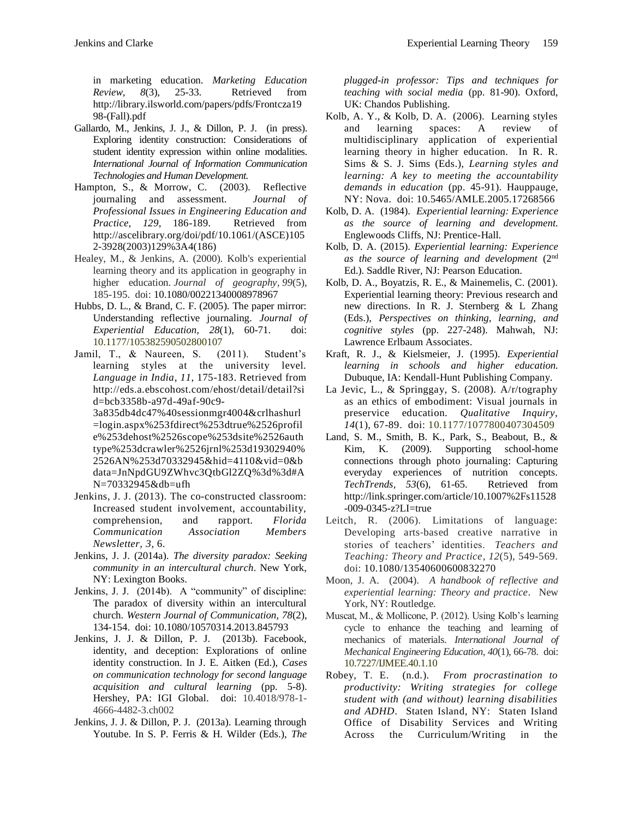in marketing education. *Marketing Education Review, 8*(3), 25-33. Retrieved from http://library.ilsworld.com/papers/pdfs/Frontcza19 98-(Fall).pdf

- Gallardo, M., Jenkins, J. J., & Dillon, P. J. (in press). Exploring identity construction: Considerations of student identity expression within online modalities. *International Journal of Information Communication Technologies and Human Development.*
- Hampton, S., & Morrow, C. (2003). Reflective<br>journaling and assessment. Journal of journaling and assessment. *Professional Issues in Engineering Education and Practice, 129*, 186-189. Retrieved from http://ascelibrary.org/doi/pdf/10.1061/(ASCE)105 2-3928(2003)129%3A4(186)
- Healey, M., & Jenkins, A. (2000). Kolb's experiential learning theory and its application in geography in higher education. *Journal of geography*, *99*(5), 185-195. doi: 10.1080/00221340008978967
- Hubbs, D. L., & Brand, C. F. (2005). The paper mirror: Understanding reflective journaling. *Journal of Experiential Education, 28*(1), 60-71. doi: 10.1177/105382590502800107
- Jamil, T., & Naureen, S. (2011). Student's learning styles at the university level. *Language in India*, *11*, 175-183. Retrieved from http://eds.a.ebscohost.com/ehost/detail/detail?si d=bcb3358b-a97d-49af-90c9-

3a835db4dc47%40sessionmgr4004&crlhashurl =login.aspx%253fdirect%253dtrue%2526profil e%253dehost%2526scope%253dsite%2526auth type%253dcrawler%2526jrnl%253d19302940% 2526AN%253d70332945&hid=4110&vid=0&b data=JnNpdGU9ZWhvc3QtbGl2ZQ%3d%3d#A N=70332945&db=ufh

- Jenkins, J. J. (2013). The co-constructed classroom: Increased student involvement, accountability, comprehension, and rapport. *Florida Communication Association Members Newsletter, 3*, 6.
- Jenkins, J. J. (2014a). *The diversity paradox: Seeking community in an intercultural church*. New York, NY: Lexington Books.
- Jenkins, J. J. (2014b). A "community" of discipline: The paradox of diversity within an intercultural church. *Western Journal of Communication, 78*(2), 134-154. doi: 10.1080/10570314.2013.845793
- Jenkins, J. J. & Dillon, P. J. (2013b). Facebook, identity, and deception: Explorations of online identity construction. In J. E. Aitken (Ed.), *Cases on communication technology for second language acquisition and cultural learning* (pp. 5-8). Hershey, PA: IGI Global. doi: 10.4018/978-1- 4666-4482-3.ch002
- Jenkins, J. J. & Dillon, P. J. (2013a). Learning through Youtube. In S. P. Ferris & H. Wilder (Eds.), *The*

*plugged-in professor: Tips and techniques for teaching with social media* (pp. 81-90). Oxford, UK: Chandos Publishing.

- Kolb, A. Y., & Kolb, D. A. (2006). Learning styles and learning spaces: A review of multidisciplinary application of experiential learning theory in higher education. In R. R. Sims & S. J. Sims (Eds.), *Learning styles and learning: A key to meeting the accountability demands in education* (pp. 45-91). Hauppauge, NY: Nova. doi: 10.5465/AMLE.2005.17268566
- Kolb, D. A. (1984). *Experiential learning: Experience as the source of learning and development.* Englewoods Cliffs, NJ: Prentice-Hall.
- Kolb, D. A. (2015). *Experiential learning: Experience as the source of learning and development* (2nd Ed.). Saddle River, NJ: Pearson Education.
- Kolb, D. A., Boyatzis, R. E., & Mainemelis, C. (2001). Experiential learning theory: Previous research and new directions. In R. J. Sternberg & L Zhang (Eds.), *Perspectives on thinking, learning, and cognitive styles* (pp. 227-248). Mahwah, NJ: Lawrence Erlbaum Associates.
- Kraft, R. J., & Kielsmeier, J. (1995). *Experiential learning in schools and higher education.* Dubuque, IA: Kendall-Hunt Publishing Company.
- La Jevic, L., & Springgay, S. (2008). A/r/tography as an ethics of embodiment: Visual journals in preservice education. *Qualitative Inquiry, 14*(1), 67-89. doi: 10.1177/1077800407304509
- Land, S. M., Smith, B. K., Park, S., Beabout, B., & Kim, K. (2009). Supporting school-home connections through photo journaling: Capturing everyday experiences of nutrition concepts. *TechTrends, 53*(6), 61-65. Retrieved from http://link.springer.com/article/10.1007%2Fs11528 -009-0345-z?LI=true
- Leitch, R. (2006). Limitations of language: Developing arts‐based creative narrative in stories of teachers' identities. *Teachers and Teaching: Theory and Practice*, *12*(5), 549-569. doi: 10.1080/13540600600832270
- Moon, J. A. (2004). *A handbook of reflective and experiential learning: Theory and practice*. New York, NY: Routledge.
- Muscat, M., & Mollicone, P. (2012). Using Kolb's learning cycle to enhance the teaching and learning of mechanics of materials. *International Journal of Mechanical Engineering Education, 40*(1), 66-78. doi: 10.7227/IJMEE.40.1.10
- Robey, T. E. (n.d.). *From procrastination to productivity: Writing strategies for college student with (and without) learning disabilities and ADHD*. Staten Island, NY: Staten Island Office of Disability Services and Writing Across the Curriculum/Writing in the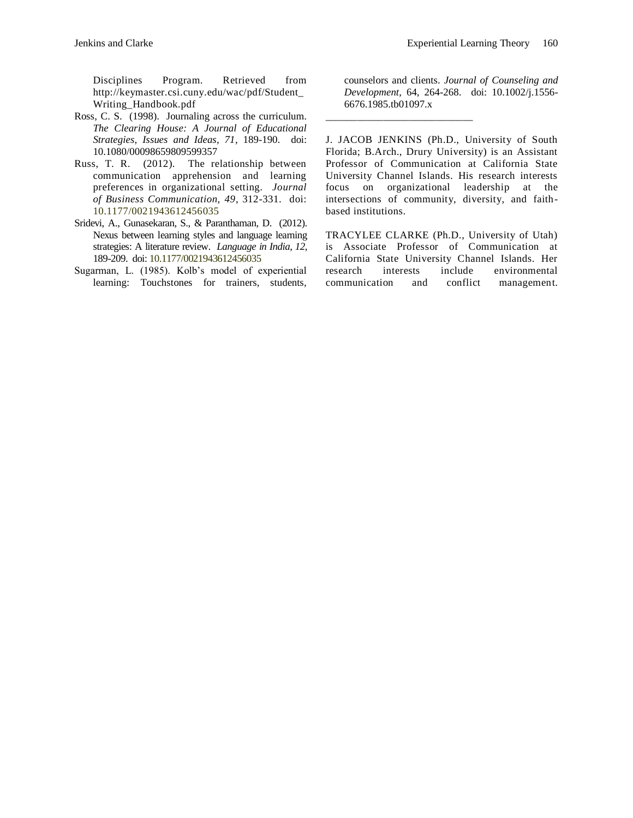Disciplines Program. Retrieved from http://keymaster.csi.cuny.edu/wac/pdf/Student\_ Writing\_Handbook.pdf

- Ross, C. S. (1998). Journaling across the curriculum. *The Clearing House: A Journal of Educational Strategies, Issues and Ideas, 71*, 189-190. doi: 10.1080/00098659809599357
- Russ, T. R. (2012). The relationship between communication apprehension and learning preferences in organizational setting. *Journal of Business Communication, 49*, 312-331. doi: 10.1177/0021943612456035
- Sridevi, A., Gunasekaran, S., & Paranthaman, D. (2012). Nexus between learning styles and language learning strategies: A literature review. *Language in India*, *12*, 189-209. doi: 10.1177/0021943612456035
- Sugarman, L. (1985). Kolb's model of experiential learning: Touchstones for trainers, students,

counselors and clients. *Journal of Counseling and Development*, 64, 264-268. doi: 10.1002/j.1556- 6676.1985.tb01097.x

J. JACOB JENKINS (Ph.D., University of South Florida; B.Arch., Drury University) is an Assistant Professor of Communication at California State University Channel Islands. His research interests focus on organizational leadership at the intersections of community, diversity, and faithbased institutions.

\_\_\_\_\_\_\_\_\_\_\_\_\_\_\_\_\_\_\_\_\_\_\_\_\_\_\_\_

TRACYLEE CLARKE (Ph.D., University of Utah) is Associate Professor of Communication at California State University Channel Islands. Her research interests include environmental communication and conflict management.